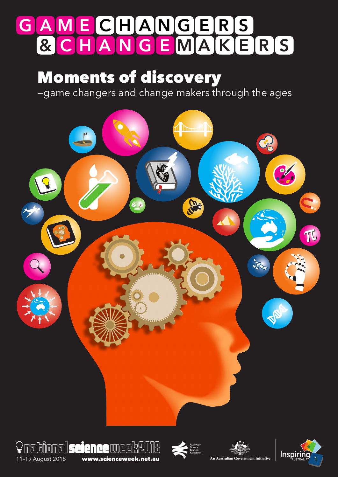# **G A M E C H A N G E R S & C H A N G E M A K E R S**

## Moments of discovery

—game changers and change makers through the ages









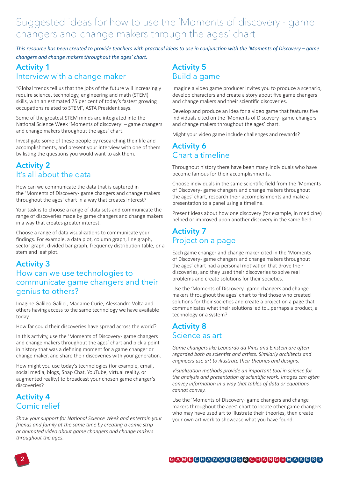### Suggested ideas for how to use the 'Moments of discovery - game changers and change makers through the ages' chart

*This resource has been created to provide teachers with practical ideas to use in conjunction with the 'Moments of Discovery – game changers and change makers throughout the ages' chart.*

#### **Activity 1** Interview with a change maker

"Global trends tell us that the jobs of the future will increasingly require science, technology, engineering and math (STEM) skills, with an estimated 75 per cent of today's fastest growing occupations related to STEM", ASTA President says.

Some of the greatest STEM minds are integrated into the National Science Week 'Moments of discovery' – game changers and change makers throughout the ages' chart.

Investigate some of these people by researching their life and accomplishments, and present your interview with one of them by listing the questions you would want to ask them.

#### **Activity 2** It's all about the data

How can we communicate the data that is captured in the 'Moments of Discovery- game changers and change makers throughout the ages' chart in a way that creates interest?

Your task is to choose a range of data sets and communicate the range of discoveries made by game changers and change makers in a way that creates greater interest.

Choose a range of data visualizations to communicate your findings. For example, a data plot, column graph, line graph, sector graph, divided bar graph, frequency distribution table, or a stem and leaf plot.

#### **Activity 3**

#### How can we use technologies to communicate game changers and their genius to others?

Imagine Galileo Galilei, Madame Curie, Alessandro Volta and others having access to the same technology we have available today.

How far could their discoveries have spread across the world?

In this activity, use the 'Moments of Discovery- game changers and change makers throughout the ages' chart and pick a point in history that was a defining moment for a game changer or change maker, and share their discoveries with your generation.

How might you use today's technologies (for example, email, social media, blogs, Snap Chat, YouTube, virtual reality, or augmented reality) to broadcast your chosen game changer's discoveries?

#### **Activity 4** Comic relief

*Show your support for National Science Week and entertain your friends and family at the same time by creating a comic strip or animated video about game changers and change makers throughout the ages.*

#### **Activity 5** Build a game

Imagine a video game producer invites you to produce a scenario, develop characters and create a story about five game changers and change makers and their scientific discoveries.

Develop and produce an idea for a video game that features five individuals cited on the 'Moments of Discovery- game changers and change makers throughout the ages' chart.

Might your video game include challenges and rewards?

#### **Activity 6** Chart a timeline

Throughout history there have been many individuals who have become famous for their accomplishments.

Choose individuals in the same scientific field from the 'Moments of Discovery- game changers and change makers throughout the ages' chart, research their accomplishments and make a presentation to a panel using a timeline.

Present ideas about how one discovery (for example, in medicine) helped or improved upon another discovery in the same field.

#### **Activity 7** Project on a page

Each game changer and change maker cited in the 'Moments of Discovery - game changers and change makers throughout the ages' chart had a personal motivation that drove their discoveries, and they used their discoveries to solve real problems and create solutions for their societies.

Use the 'Moments of Discovery- game changers and change makers throughout the ages' chart to find those who created solutions for their societies and create a project on a page that communicates what their solutions led to...perhaps a product, a technology or a system?

#### **Activity 8** Science as art

*Game changers like Leonardo da Vinci and Einstein are often regarded both as scientist and artists. Similarly architects and engineers use art to illustrate their theories and designs.*

*Visualization methods provide an important tool in science for the analysis and presentation of scientific work. Images can often convey information in a way that tables of data or equations cannot convey.* 

Use the 'Moments of Discovery-game changers and change makers throughout the ages' chart to locate other game changers who may have used art to illustrate their theories, then create your own art work to showcase what you have found.

#### **G A M E C H A N G E R S & C H A N G E M A K E R S**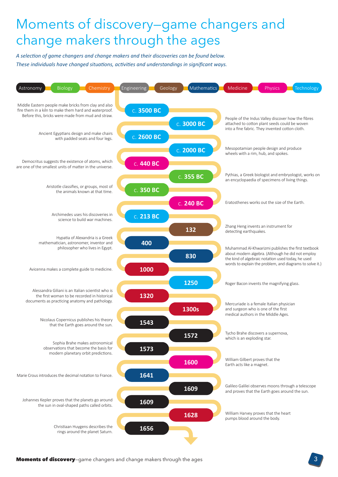## Moments of discovery—game changers and change makers through the ages

*A selection of game changers and change makers and their discoveries can be found below. These individuals have changed situations, activities and understandings in significant ways.*

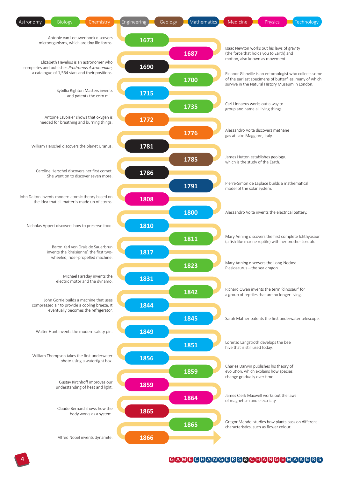

#### **G A M E C H A N G E R S & C H A N G E M A K E R S**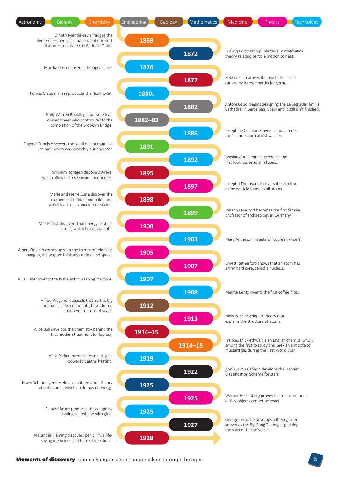

Moments of discovery-game changers and change makers through the ages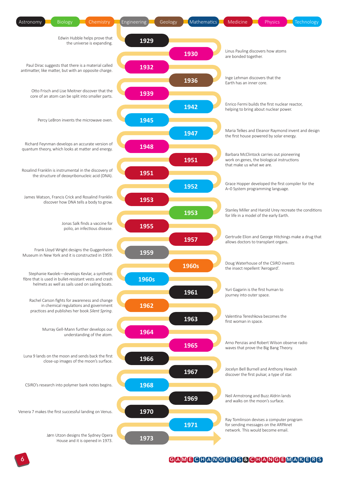

#### **G A M E C H A N G E R S & C H A N G E M A K E R S**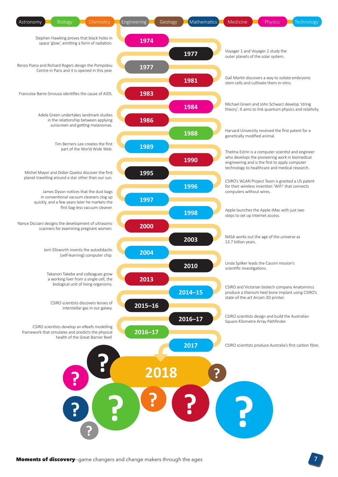

Moments of discovery-game changers and change makers through the ages

7